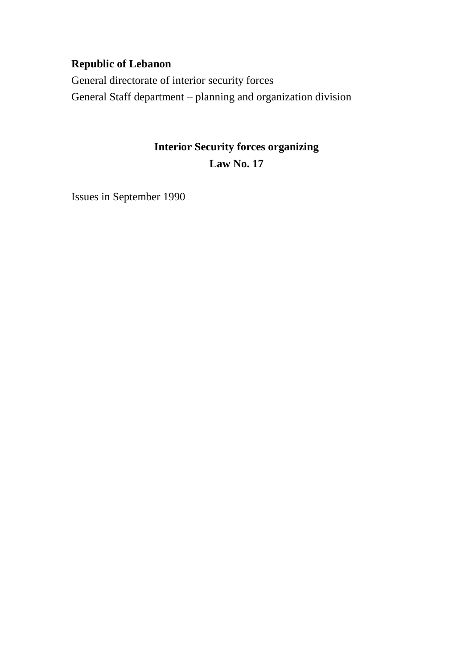# **Republic of Lebanon**

General directorate of interior security forces General Staff department – planning and organization division

# **Interior Security forces organizing Law No. 17**

Issues in September 1990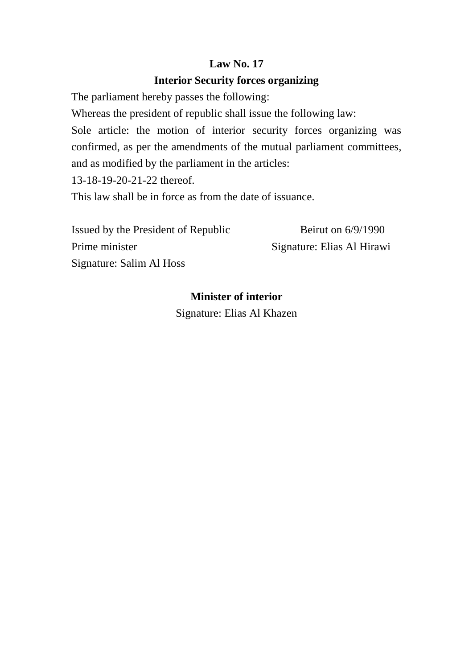# **Law No. 17**

# **Interior Security forces organizing**

The parliament hereby passes the following:

Whereas the president of republic shall issue the following law:

Sole article: the motion of interior security forces organizing was confirmed, as per the amendments of the mutual parliament committees, and as modified by the parliament in the articles:

13-18-19-20-21-22 thereof.

This law shall be in force as from the date of issuance.

| Issued by the President of Republic | Beirut on $6/9/1990$       |
|-------------------------------------|----------------------------|
| Prime minister                      | Signature: Elias Al Hirawi |
| Signature: Salim Al Hoss            |                            |

# **Minister of interior**

Signature: Elias Al Khazen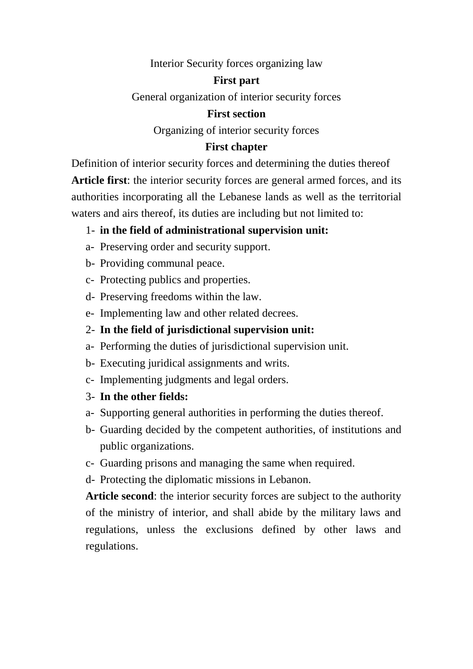#### Interior Security forces organizing law

#### **First part**

General organization of interior security forces

#### **First section**

Organizing of interior security forces

### **First chapter**

Definition of interior security forces and determining the duties thereof **Article first**: the interior security forces are general armed forces, and its authorities incorporating all the Lebanese lands as well as the territorial waters and airs thereof, its duties are including but not limited to:

# 1- **in the field of administrational supervision unit:**

- a- Preserving order and security support.
- b- Providing communal peace.
- c- Protecting publics and properties.
- d- Preserving freedoms within the law.
- e- Implementing law and other related decrees.
- 2- **In the field of jurisdictional supervision unit:**
- a- Performing the duties of jurisdictional supervision unit.
- b- Executing juridical assignments and writs.
- c- Implementing judgments and legal orders.
- 3- **In the other fields:**
- a- Supporting general authorities in performing the duties thereof.
- b- Guarding decided by the competent authorities, of institutions and public organizations.
- c- Guarding prisons and managing the same when required.
- d- Protecting the diplomatic missions in Lebanon.

**Article second**: the interior security forces are subject to the authority of the ministry of interior, and shall abide by the military laws and regulations, unless the exclusions defined by other laws and regulations.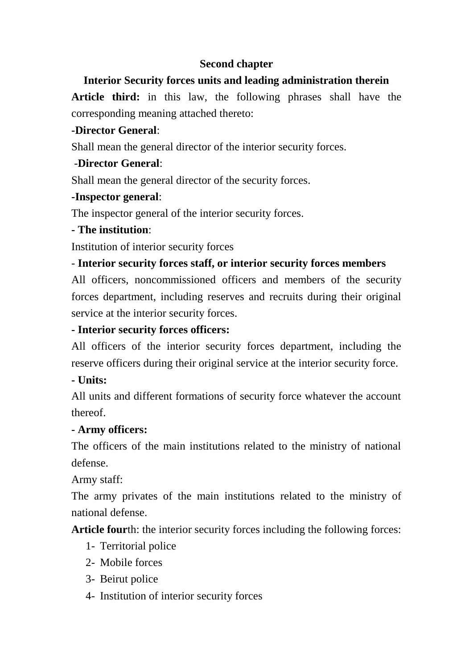## **Second chapter**

# **Interior Security forces units and leading administration therein**

**Article third:** in this law, the following phrases shall have the corresponding meaning attached thereto:

# **-Director General**:

Shall mean the general director of the interior security forces.

# -**Director General**:

Shall mean the general director of the security forces.

## **-Inspector general**:

The inspector general of the interior security forces.

# **- The institution**:

Institution of interior security forces

# - **Interior security forces staff, or interior security forces members**

All officers, noncommissioned officers and members of the security forces department, including reserves and recruits during their original service at the interior security forces.

# **- Interior security forces officers:**

All officers of the interior security forces department, including the reserve officers during their original service at the interior security force.

# **- Units:**

All units and different formations of security force whatever the account thereof.

## **- Army officers:**

The officers of the main institutions related to the ministry of national defense.

Army staff:

The army privates of the main institutions related to the ministry of national defense.

**Article four**th: the interior security forces including the following forces:

- 1- Territorial police
- 2- Mobile forces
- 3- Beirut police
- 4- Institution of interior security forces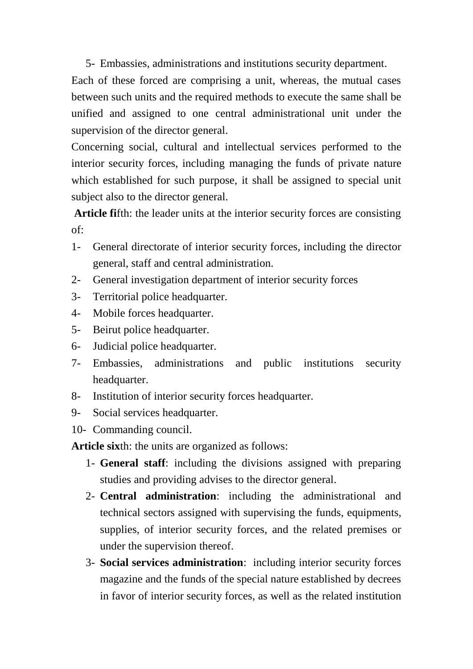5- Embassies, administrations and institutions security department.

Each of these forced are comprising a unit, whereas, the mutual cases between such units and the required methods to execute the same shall be unified and assigned to one central administrational unit under the supervision of the director general.

Concerning social, cultural and intellectual services performed to the interior security forces, including managing the funds of private nature which established for such purpose, it shall be assigned to special unit subject also to the director general.

**Article fi**fth: the leader units at the interior security forces are consisting of:

- 1- General directorate of interior security forces, including the director general, staff and central administration.
- 2- General investigation department of interior security forces
- 3- Territorial police headquarter.
- 4- Mobile forces headquarter.
- 5- Beirut police headquarter.
- 6- Judicial police headquarter.
- 7- Embassies, administrations and public institutions security headquarter.
- 8- Institution of interior security forces headquarter.
- 9- Social services headquarter.
- 10- Commanding council.

**Article six**th: the units are organized as follows:

- 1- **General staff**: including the divisions assigned with preparing studies and providing advises to the director general.
- 2- **Central administration**: including the administrational and technical sectors assigned with supervising the funds, equipments, supplies, of interior security forces, and the related premises or under the supervision thereof.
- 3- **Social services administration**: including interior security forces magazine and the funds of the special nature established by decrees in favor of interior security forces, as well as the related institution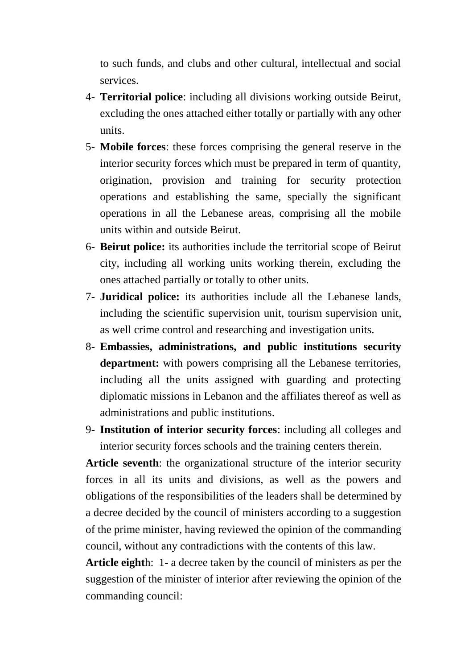to such funds, and clubs and other cultural, intellectual and social services.

- 4- **Territorial police**: including all divisions working outside Beirut, excluding the ones attached either totally or partially with any other units.
- 5- **Mobile forces**: these forces comprising the general reserve in the interior security forces which must be prepared in term of quantity, origination, provision and training for security protection operations and establishing the same, specially the significant operations in all the Lebanese areas, comprising all the mobile units within and outside Beirut.
- 6- **Beirut police:** its authorities include the territorial scope of Beirut city, including all working units working therein, excluding the ones attached partially or totally to other units.
- 7- **Juridical police:** its authorities include all the Lebanese lands, including the scientific supervision unit, tourism supervision unit, as well crime control and researching and investigation units.
- 8- **Embassies, administrations, and public institutions security department:** with powers comprising all the Lebanese territories, including all the units assigned with guarding and protecting diplomatic missions in Lebanon and the affiliates thereof as well as administrations and public institutions.
- 9- **Institution of interior security forces**: including all colleges and interior security forces schools and the training centers therein.

**Article seventh**: the organizational structure of the interior security forces in all its units and divisions, as well as the powers and obligations of the responsibilities of the leaders shall be determined by a decree decided by the council of ministers according to a suggestion of the prime minister, having reviewed the opinion of the commanding council, without any contradictions with the contents of this law.

**Article eight**h: 1- a decree taken by the council of ministers as per the suggestion of the minister of interior after reviewing the opinion of the commanding council: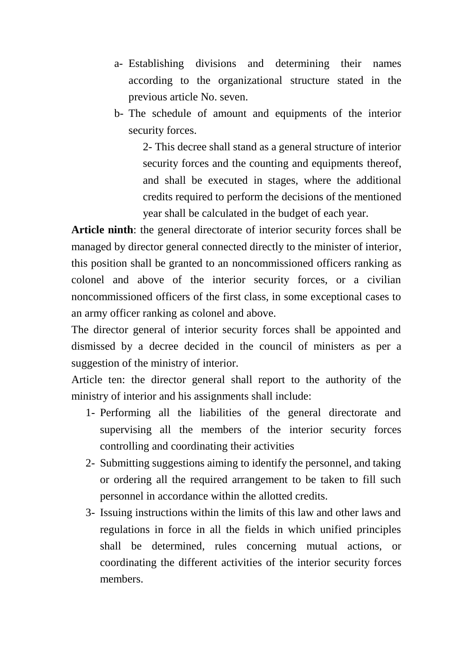- a- Establishing divisions and determining their names according to the organizational structure stated in the previous article No. seven.
- b- The schedule of amount and equipments of the interior security forces.

2- This decree shall stand as a general structure of interior security forces and the counting and equipments thereof, and shall be executed in stages, where the additional credits required to perform the decisions of the mentioned year shall be calculated in the budget of each year.

**Article ninth**: the general directorate of interior security forces shall be managed by director general connected directly to the minister of interior, this position shall be granted to an noncommissioned officers ranking as colonel and above of the interior security forces, or a civilian noncommissioned officers of the first class, in some exceptional cases to an army officer ranking as colonel and above.

The director general of interior security forces shall be appointed and dismissed by a decree decided in the council of ministers as per a suggestion of the ministry of interior.

Article ten: the director general shall report to the authority of the ministry of interior and his assignments shall include:

- 1- Performing all the liabilities of the general directorate and supervising all the members of the interior security forces controlling and coordinating their activities
- 2- Submitting suggestions aiming to identify the personnel, and taking or ordering all the required arrangement to be taken to fill such personnel in accordance within the allotted credits.
- 3- Issuing instructions within the limits of this law and other laws and regulations in force in all the fields in which unified principles shall be determined, rules concerning mutual actions, or coordinating the different activities of the interior security forces members.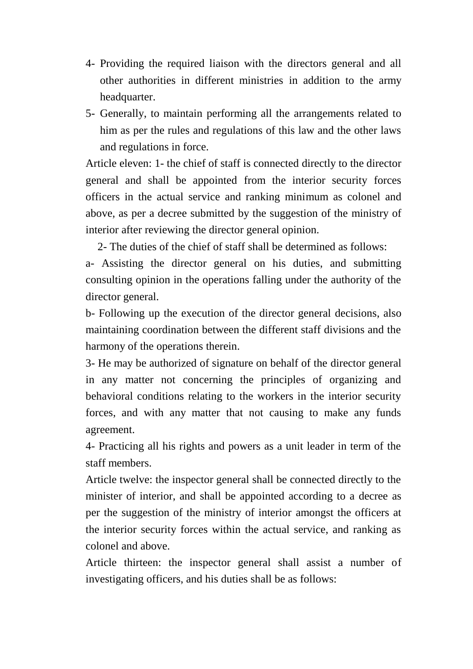- 4- Providing the required liaison with the directors general and all other authorities in different ministries in addition to the army headquarter.
- 5- Generally, to maintain performing all the arrangements related to him as per the rules and regulations of this law and the other laws and regulations in force.

Article eleven: 1- the chief of staff is connected directly to the director general and shall be appointed from the interior security forces officers in the actual service and ranking minimum as colonel and above, as per a decree submitted by the suggestion of the ministry of interior after reviewing the director general opinion.

2- The duties of the chief of staff shall be determined as follows:

a- Assisting the director general on his duties, and submitting consulting opinion in the operations falling under the authority of the director general.

b- Following up the execution of the director general decisions, also maintaining coordination between the different staff divisions and the harmony of the operations therein.

3- He may be authorized of signature on behalf of the director general in any matter not concerning the principles of organizing and behavioral conditions relating to the workers in the interior security forces, and with any matter that not causing to make any funds agreement.

4- Practicing all his rights and powers as a unit leader in term of the staff members.

Article twelve: the inspector general shall be connected directly to the minister of interior, and shall be appointed according to a decree as per the suggestion of the ministry of interior amongst the officers at the interior security forces within the actual service, and ranking as colonel and above.

Article thirteen: the inspector general shall assist a number of investigating officers, and his duties shall be as follows: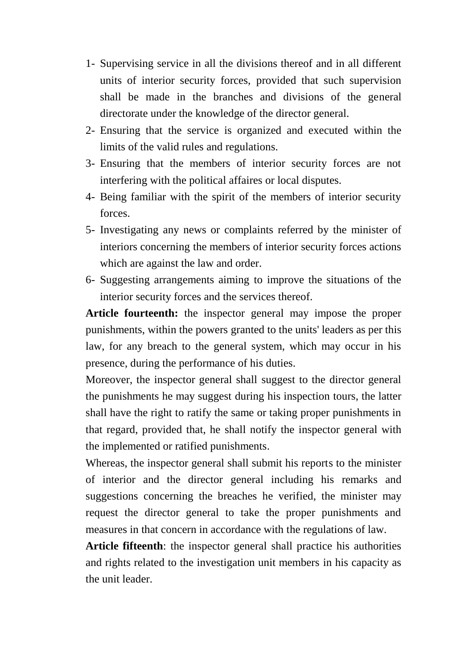- 1- Supervising service in all the divisions thereof and in all different units of interior security forces, provided that such supervision shall be made in the branches and divisions of the general directorate under the knowledge of the director general.
- 2- Ensuring that the service is organized and executed within the limits of the valid rules and regulations.
- 3- Ensuring that the members of interior security forces are not interfering with the political affaires or local disputes.
- 4- Being familiar with the spirit of the members of interior security forces.
- 5- Investigating any news or complaints referred by the minister of interiors concerning the members of interior security forces actions which are against the law and order.
- 6- Suggesting arrangements aiming to improve the situations of the interior security forces and the services thereof.

**Article fourteenth:** the inspector general may impose the proper punishments, within the powers granted to the units' leaders as per this law, for any breach to the general system, which may occur in his presence, during the performance of his duties.

Moreover, the inspector general shall suggest to the director general the punishments he may suggest during his inspection tours, the latter shall have the right to ratify the same or taking proper punishments in that regard, provided that, he shall notify the inspector general with the implemented or ratified punishments.

Whereas, the inspector general shall submit his reports to the minister of interior and the director general including his remarks and suggestions concerning the breaches he verified, the minister may request the director general to take the proper punishments and measures in that concern in accordance with the regulations of law.

**Article fifteenth**: the inspector general shall practice his authorities and rights related to the investigation unit members in his capacity as the unit leader.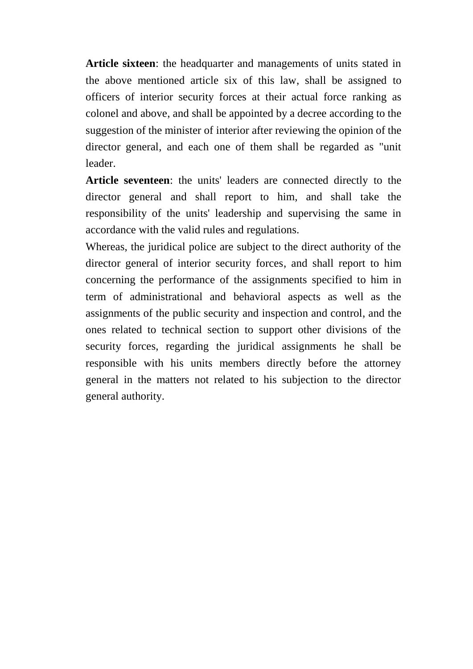**Article sixteen**: the headquarter and managements of units stated in the above mentioned article six of this law, shall be assigned to officers of interior security forces at their actual force ranking as colonel and above, and shall be appointed by a decree according to the suggestion of the minister of interior after reviewing the opinion of the director general, and each one of them shall be regarded as "unit leader.

**Article seventeen**: the units' leaders are connected directly to the director general and shall report to him, and shall take the responsibility of the units' leadership and supervising the same in accordance with the valid rules and regulations.

Whereas, the juridical police are subject to the direct authority of the director general of interior security forces, and shall report to him concerning the performance of the assignments specified to him in term of administrational and behavioral aspects as well as the assignments of the public security and inspection and control, and the ones related to technical section to support other divisions of the security forces, regarding the juridical assignments he shall be responsible with his units members directly before the attorney general in the matters not related to his subjection to the director general authority.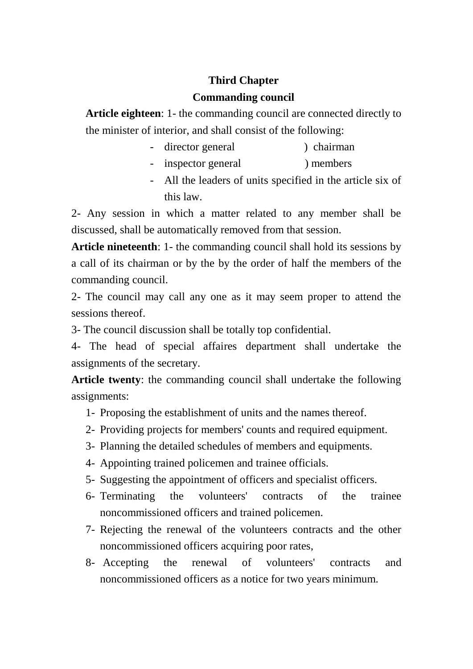# **Third Chapter**

## **Commanding council**

**Article eighteen**: 1- the commanding council are connected directly to the minister of interior, and shall consist of the following:

- director general (b) chairman
- inspector general ) members
- All the leaders of units specified in the article six of this law.

2- Any session in which a matter related to any member shall be discussed, shall be automatically removed from that session.

**Article nineteenth**: 1- the commanding council shall hold its sessions by a call of its chairman or by the by the order of half the members of the commanding council.

2- The council may call any one as it may seem proper to attend the sessions thereof.

3- The council discussion shall be totally top confidential.

4- The head of special affaires department shall undertake the assignments of the secretary.

**Article twenty**: the commanding council shall undertake the following assignments:

- 1- Proposing the establishment of units and the names thereof.
- 2- Providing projects for members' counts and required equipment.
- 3- Planning the detailed schedules of members and equipments.
- 4- Appointing trained policemen and trainee officials.
- 5- Suggesting the appointment of officers and specialist officers.
- 6- Terminating the volunteers' contracts of the trainee noncommissioned officers and trained policemen.
- 7- Rejecting the renewal of the volunteers contracts and the other noncommissioned officers acquiring poor rates,
- 8- Accepting the renewal of volunteers' contracts and noncommissioned officers as a notice for two years minimum.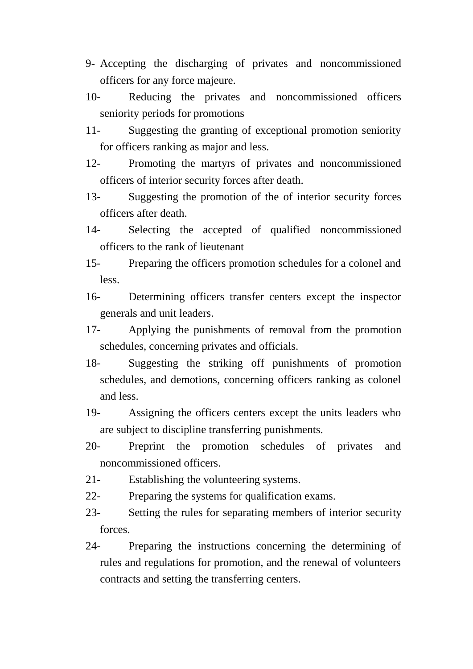- 9- Accepting the discharging of privates and noncommissioned officers for any force majeure.
- 10- Reducing the privates and noncommissioned officers seniority periods for promotions
- 11- Suggesting the granting of exceptional promotion seniority for officers ranking as major and less.
- 12- Promoting the martyrs of privates and noncommissioned officers of interior security forces after death.
- 13- Suggesting the promotion of the of interior security forces officers after death.
- 14- Selecting the accepted of qualified noncommissioned officers to the rank of lieutenant
- 15- Preparing the officers promotion schedules for a colonel and less.
- 16- Determining officers transfer centers except the inspector generals and unit leaders.
- 17- Applying the punishments of removal from the promotion schedules, concerning privates and officials.
- 18- Suggesting the striking off punishments of promotion schedules, and demotions, concerning officers ranking as colonel and less.
- 19- Assigning the officers centers except the units leaders who are subject to discipline transferring punishments.
- 20- Preprint the promotion schedules of privates and noncommissioned officers.
- 21- Establishing the volunteering systems.
- 22- Preparing the systems for qualification exams.
- 23- Setting the rules for separating members of interior security forces.
- 24- Preparing the instructions concerning the determining of rules and regulations for promotion, and the renewal of volunteers contracts and setting the transferring centers.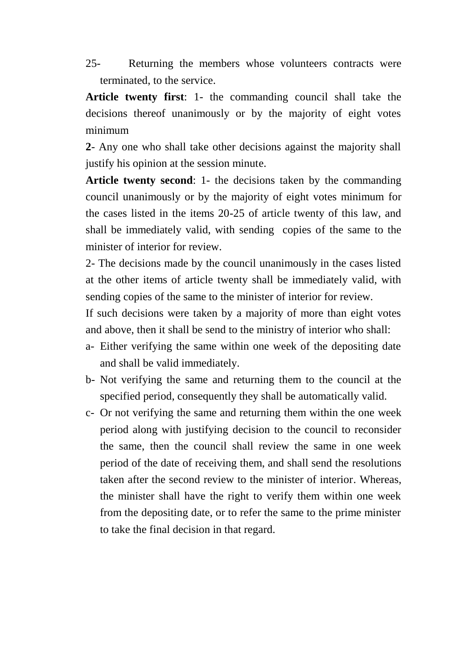25- Returning the members whose volunteers contracts were terminated, to the service.

**Article twenty first**: 1- the commanding council shall take the decisions thereof unanimously or by the majority of eight votes minimum

**2**- Any one who shall take other decisions against the majority shall justify his opinion at the session minute.

**Article twenty second**: 1- the decisions taken by the commanding council unanimously or by the majority of eight votes minimum for the cases listed in the items 20-25 of article twenty of this law, and shall be immediately valid, with sending copies of the same to the minister of interior for review.

2- The decisions made by the council unanimously in the cases listed at the other items of article twenty shall be immediately valid, with sending copies of the same to the minister of interior for review.

If such decisions were taken by a majority of more than eight votes and above, then it shall be send to the ministry of interior who shall:

- a- Either verifying the same within one week of the depositing date and shall be valid immediately.
- b- Not verifying the same and returning them to the council at the specified period, consequently they shall be automatically valid.
- c- Or not verifying the same and returning them within the one week period along with justifying decision to the council to reconsider the same, then the council shall review the same in one week period of the date of receiving them, and shall send the resolutions taken after the second review to the minister of interior. Whereas, the minister shall have the right to verify them within one week from the depositing date, or to refer the same to the prime minister to take the final decision in that regard.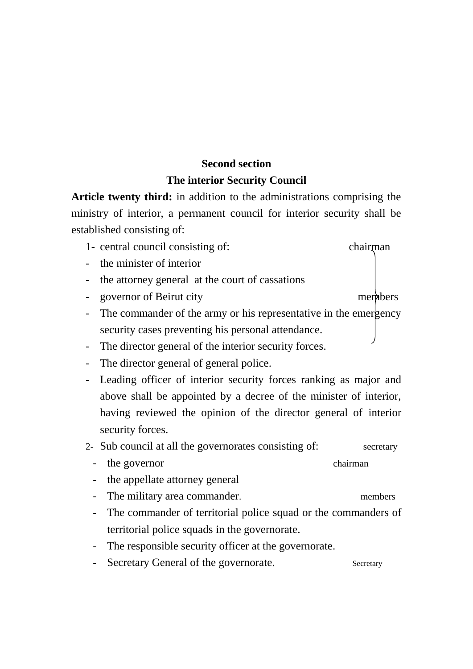# **Second section The interior Security Council**

**Article twenty third:** in addition to the administrations comprising the ministry of interior, a permanent council for interior security shall be established consisting of:

- 1- central council consisting of: chairman
- the minister of interior
- the attorney general at the court of cassations
- governor of Beirut city members
- The commander of the army or his representative in the emergency security cases preventing his personal attendance.
- The director general of the interior security forces.
- The director general of general police.
- Leading officer of interior security forces ranking as major and above shall be appointed by a decree of the minister of interior, having reviewed the opinion of the director general of interior security forces.
- 2- Sub council at all the governorates consisting of: secretary
	- the governor chairman
	- the appellate attorney general
	- The military area commander. The members
	- The commander of territorial police squad or the commanders of territorial police squads in the governorate.
	- The responsible security officer at the governorate.
	- Secretary General of the governorate. Secretary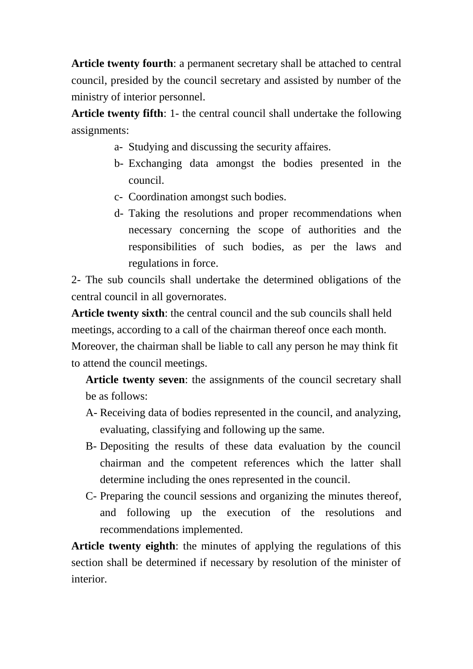**Article twenty fourth**: a permanent secretary shall be attached to central council, presided by the council secretary and assisted by number of the ministry of interior personnel.

**Article twenty fifth**: 1- the central council shall undertake the following assignments:

- a- Studying and discussing the security affaires.
- b- Exchanging data amongst the bodies presented in the council.
- c- Coordination amongst such bodies.
- d- Taking the resolutions and proper recommendations when necessary concerning the scope of authorities and the responsibilities of such bodies, as per the laws and regulations in force.

2- The sub councils shall undertake the determined obligations of the central council in all governorates.

**Article twenty sixth**: the central council and the sub councils shall held meetings, according to a call of the chairman thereof once each month.

Moreover, the chairman shall be liable to call any person he may think fit to attend the council meetings.

**Article twenty seven**: the assignments of the council secretary shall be as follows:

- A- Receiving data of bodies represented in the council, and analyzing, evaluating, classifying and following up the same.
- B- Depositing the results of these data evaluation by the council chairman and the competent references which the latter shall determine including the ones represented in the council.
- C- Preparing the council sessions and organizing the minutes thereof, and following up the execution of the resolutions and recommendations implemented.

**Article twenty eighth**: the minutes of applying the regulations of this section shall be determined if necessary by resolution of the minister of interior.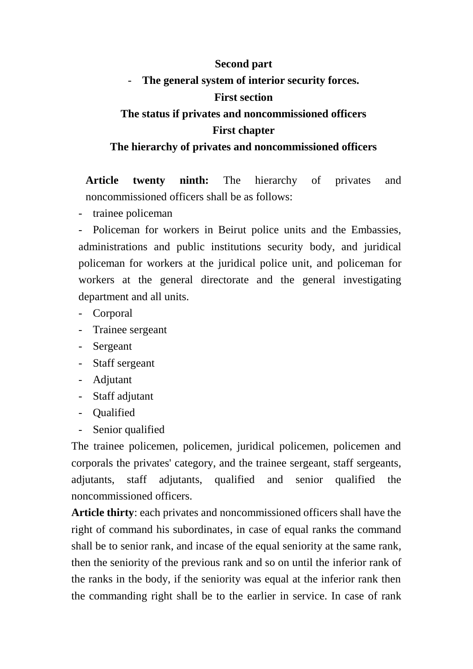### **Second part**

# The general system of interior security forces.

### **First section**

# **The status if privates and noncommissioned officers First chapter**

## **The hierarchy of privates and noncommissioned officers**

**Article twenty ninth:** The hierarchy of privates and noncommissioned officers shall be as follows:

- trainee policeman

- Policeman for workers in Beirut police units and the Embassies, administrations and public institutions security body, and juridical policeman for workers at the juridical police unit, and policeman for workers at the general directorate and the general investigating department and all units.

- Corporal
- Trainee sergeant
- Sergeant
- Staff sergeant
- Adjutant
- Staff adjutant
- Qualified
- Senior qualified

The trainee policemen, policemen, juridical policemen, policemen and corporals the privates' category, and the trainee sergeant, staff sergeants, adjutants, staff adjutants, qualified and senior qualified the noncommissioned officers.

**Article thirty**: each privates and noncommissioned officers shall have the right of command his subordinates, in case of equal ranks the command shall be to senior rank, and incase of the equal seniority at the same rank, then the seniority of the previous rank and so on until the inferior rank of the ranks in the body, if the seniority was equal at the inferior rank then the commanding right shall be to the earlier in service. In case of rank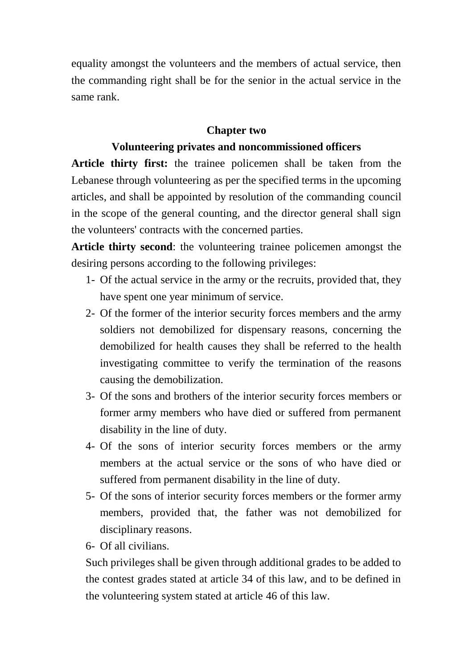equality amongst the volunteers and the members of actual service, then the commanding right shall be for the senior in the actual service in the same rank.

### **Chapter two**

### **Volunteering privates and noncommissioned officers**

**Article thirty first:** the trainee policemen shall be taken from the Lebanese through volunteering as per the specified terms in the upcoming articles, and shall be appointed by resolution of the commanding council in the scope of the general counting, and the director general shall sign the volunteers' contracts with the concerned parties.

**Article thirty second**: the volunteering trainee policemen amongst the desiring persons according to the following privileges:

- 1- Of the actual service in the army or the recruits, provided that, they have spent one year minimum of service.
- 2- Of the former of the interior security forces members and the army soldiers not demobilized for dispensary reasons, concerning the demobilized for health causes they shall be referred to the health investigating committee to verify the termination of the reasons causing the demobilization.
- 3- Of the sons and brothers of the interior security forces members or former army members who have died or suffered from permanent disability in the line of duty.
- 4- Of the sons of interior security forces members or the army members at the actual service or the sons of who have died or suffered from permanent disability in the line of duty.
- 5- Of the sons of interior security forces members or the former army members, provided that, the father was not demobilized for disciplinary reasons.
- 6- Of all civilians.

Such privileges shall be given through additional grades to be added to the contest grades stated at article 34 of this law, and to be defined in the volunteering system stated at article 46 of this law.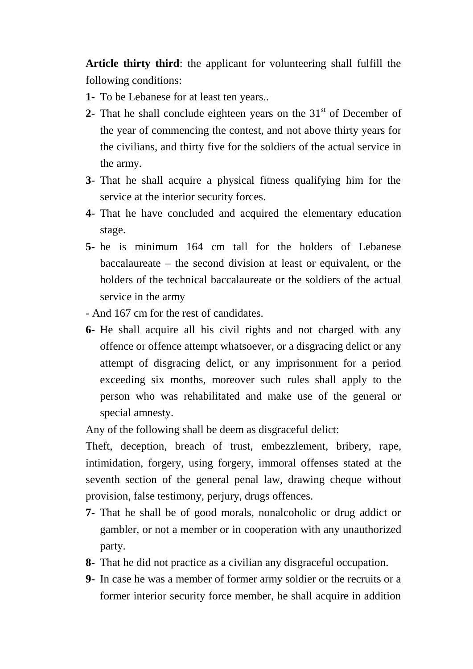**Article thirty third**: the applicant for volunteering shall fulfill the following conditions:

- **1-** To be Lebanese for at least ten years..
- **2-** That he shall conclude eighteen years on the  $31<sup>st</sup>$  of December of the year of commencing the contest, and not above thirty years for the civilians, and thirty five for the soldiers of the actual service in the army.
- **3-** That he shall acquire a physical fitness qualifying him for the service at the interior security forces.
- **4-** That he have concluded and acquired the elementary education stage.
- **5-** he is minimum 164 cm tall for the holders of Lebanese baccalaureate – the second division at least or equivalent, or the holders of the technical baccalaureate or the soldiers of the actual service in the army
- And 167 cm for the rest of candidates.
- **6-** He shall acquire all his civil rights and not charged with any offence or offence attempt whatsoever, or a disgracing delict or any attempt of disgracing delict, or any imprisonment for a period exceeding six months, moreover such rules shall apply to the person who was rehabilitated and make use of the general or special amnesty.

Any of the following shall be deem as disgraceful delict:

Theft, deception, breach of trust, embezzlement, bribery, rape, intimidation, forgery, using forgery, immoral offenses stated at the seventh section of the general penal law, drawing cheque without provision, false testimony, perjury, drugs offences.

- **7-** That he shall be of good morals, nonalcoholic or drug addict or gambler, or not a member or in cooperation with any unauthorized party.
- **8-** That he did not practice as a civilian any disgraceful occupation.
- **9-** In case he was a member of former army soldier or the recruits or a former interior security force member, he shall acquire in addition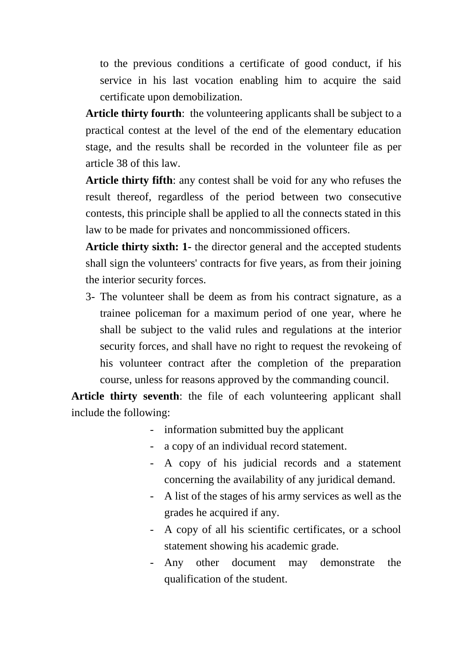to the previous conditions a certificate of good conduct, if his service in his last vocation enabling him to acquire the said certificate upon demobilization.

**Article thirty fourth**: the volunteering applicants shall be subject to a practical contest at the level of the end of the elementary education stage, and the results shall be recorded in the volunteer file as per article 38 of this law.

**Article thirty fifth**: any contest shall be void for any who refuses the result thereof, regardless of the period between two consecutive contests, this principle shall be applied to all the connects stated in this law to be made for privates and noncommissioned officers.

**Article thirty sixth: 1-** the director general and the accepted students shall sign the volunteers' contracts for five years, as from their joining the interior security forces.

3- The volunteer shall be deem as from his contract signature, as a trainee policeman for a maximum period of one year, where he shall be subject to the valid rules and regulations at the interior security forces, and shall have no right to request the revokeing of his volunteer contract after the completion of the preparation course, unless for reasons approved by the commanding council.

**Article thirty seventh**: the file of each volunteering applicant shall include the following:

- information submitted buy the applicant
- a copy of an individual record statement.
- A copy of his judicial records and a statement concerning the availability of any juridical demand.
- A list of the stages of his army services as well as the grades he acquired if any.
- A copy of all his scientific certificates, or a school statement showing his academic grade.
- Any other document may demonstrate the qualification of the student.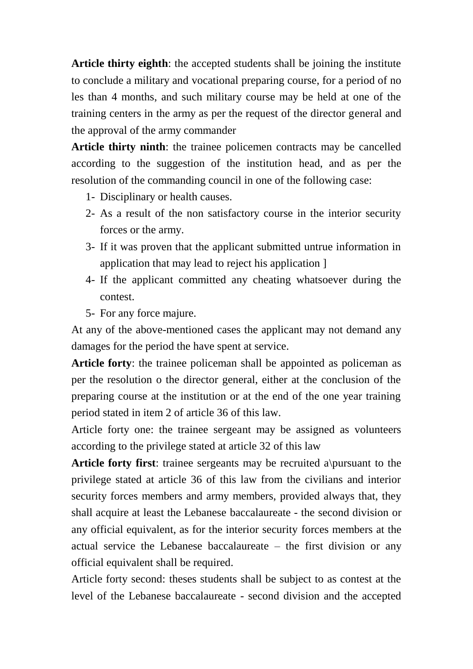**Article thirty eighth**: the accepted students shall be joining the institute to conclude a military and vocational preparing course, for a period of no les than 4 months, and such military course may be held at one of the training centers in the army as per the request of the director general and the approval of the army commander

**Article thirty ninth**: the trainee policemen contracts may be cancelled according to the suggestion of the institution head, and as per the resolution of the commanding council in one of the following case:

- 1- Disciplinary or health causes.
- 2- As a result of the non satisfactory course in the interior security forces or the army.
- 3- If it was proven that the applicant submitted untrue information in application that may lead to reject his application ]
- 4- If the applicant committed any cheating whatsoever during the contest.
- 5- For any force majure.

At any of the above-mentioned cases the applicant may not demand any damages for the period the have spent at service.

**Article forty**: the trainee policeman shall be appointed as policeman as per the resolution o the director general, either at the conclusion of the preparing course at the institution or at the end of the one year training period stated in item 2 of article 36 of this law.

Article forty one: the trainee sergeant may be assigned as volunteers according to the privilege stated at article 32 of this law

**Article forty first**: trainee sergeants may be recruited a\pursuant to the privilege stated at article 36 of this law from the civilians and interior security forces members and army members, provided always that, they shall acquire at least the Lebanese baccalaureate - the second division or any official equivalent, as for the interior security forces members at the actual service the Lebanese baccalaureate – the first division or any official equivalent shall be required.

Article forty second: theses students shall be subject to as contest at the level of the Lebanese baccalaureate - second division and the accepted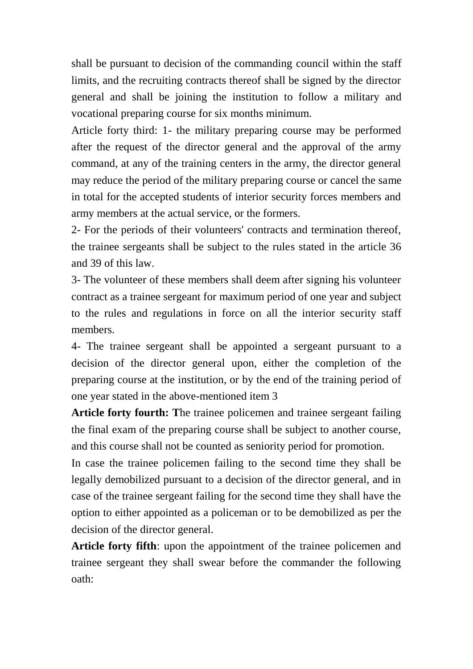shall be pursuant to decision of the commanding council within the staff limits, and the recruiting contracts thereof shall be signed by the director general and shall be joining the institution to follow a military and vocational preparing course for six months minimum.

Article forty third: 1- the military preparing course may be performed after the request of the director general and the approval of the army command, at any of the training centers in the army, the director general may reduce the period of the military preparing course or cancel the same in total for the accepted students of interior security forces members and army members at the actual service, or the formers.

2- For the periods of their volunteers' contracts and termination thereof, the trainee sergeants shall be subject to the rules stated in the article 36 and 39 of this law.

3- The volunteer of these members shall deem after signing his volunteer contract as a trainee sergeant for maximum period of one year and subject to the rules and regulations in force on all the interior security staff members.

4- The trainee sergeant shall be appointed a sergeant pursuant to a decision of the director general upon, either the completion of the preparing course at the institution, or by the end of the training period of one year stated in the above-mentioned item 3

**Article forty fourth: T**he trainee policemen and trainee sergeant failing the final exam of the preparing course shall be subject to another course, and this course shall not be counted as seniority period for promotion.

In case the trainee policemen failing to the second time they shall be legally demobilized pursuant to a decision of the director general, and in case of the trainee sergeant failing for the second time they shall have the option to either appointed as a policeman or to be demobilized as per the decision of the director general.

**Article forty fifth**: upon the appointment of the trainee policemen and trainee sergeant they shall swear before the commander the following oath: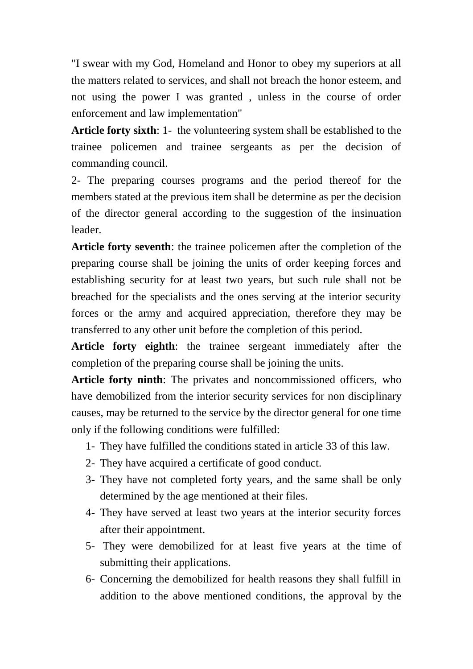"I swear with my God, Homeland and Honor to obey my superiors at all the matters related to services, and shall not breach the honor esteem, and not using the power I was granted , unless in the course of order enforcement and law implementation"

**Article forty sixth**: 1- the volunteering system shall be established to the trainee policemen and trainee sergeants as per the decision of commanding council.

2- The preparing courses programs and the period thereof for the members stated at the previous item shall be determine as per the decision of the director general according to the suggestion of the insinuation leader.

**Article forty seventh**: the trainee policemen after the completion of the preparing course shall be joining the units of order keeping forces and establishing security for at least two years, but such rule shall not be breached for the specialists and the ones serving at the interior security forces or the army and acquired appreciation, therefore they may be transferred to any other unit before the completion of this period.

**Article forty eighth**: the trainee sergeant immediately after the completion of the preparing course shall be joining the units.

**Article forty ninth**: The privates and noncommissioned officers, who have demobilized from the interior security services for non disciplinary causes, may be returned to the service by the director general for one time only if the following conditions were fulfilled:

- 1- They have fulfilled the conditions stated in article 33 of this law.
- 2- They have acquired a certificate of good conduct.
- 3- They have not completed forty years, and the same shall be only determined by the age mentioned at their files.
- 4- They have served at least two years at the interior security forces after their appointment.
- 5- They were demobilized for at least five years at the time of submitting their applications.
- 6- Concerning the demobilized for health reasons they shall fulfill in addition to the above mentioned conditions, the approval by the